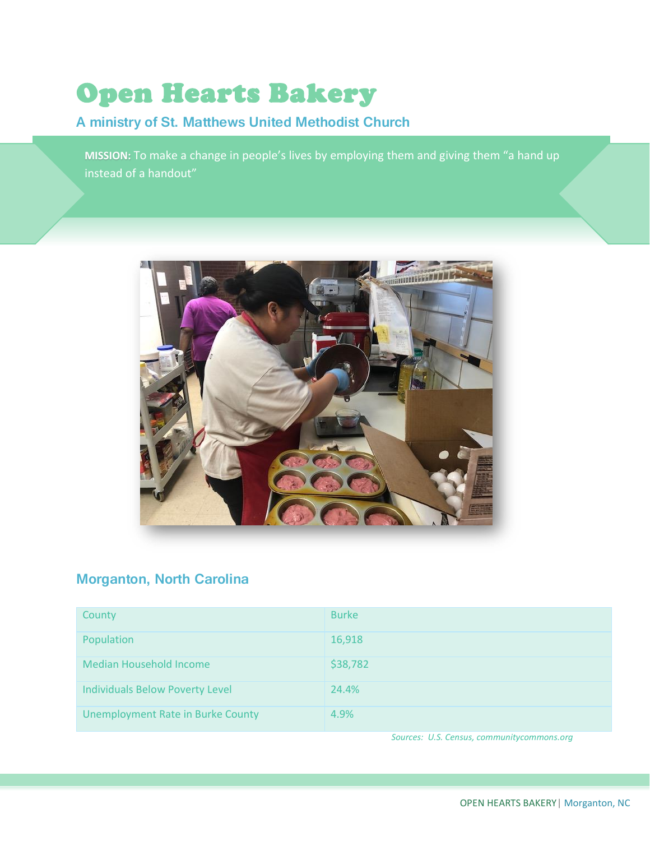# Open Hearts Bakery

# **A ministry of St. Matthews United Methodist Church**

**MISSION:** To make a change in people's lives by employing them and giving them "a hand up instead of a handout"



# **Morganton, North Carolina**

| County                                   | <b>Burke</b> |
|------------------------------------------|--------------|
| Population                               | 16,918       |
| <b>Median Household Income</b>           | \$38,782     |
| <b>Individuals Below Poverty Level</b>   | 24.4%        |
| <b>Unemployment Rate in Burke County</b> | 4.9%         |

*Sources: U.S. Census, communitycommons.org*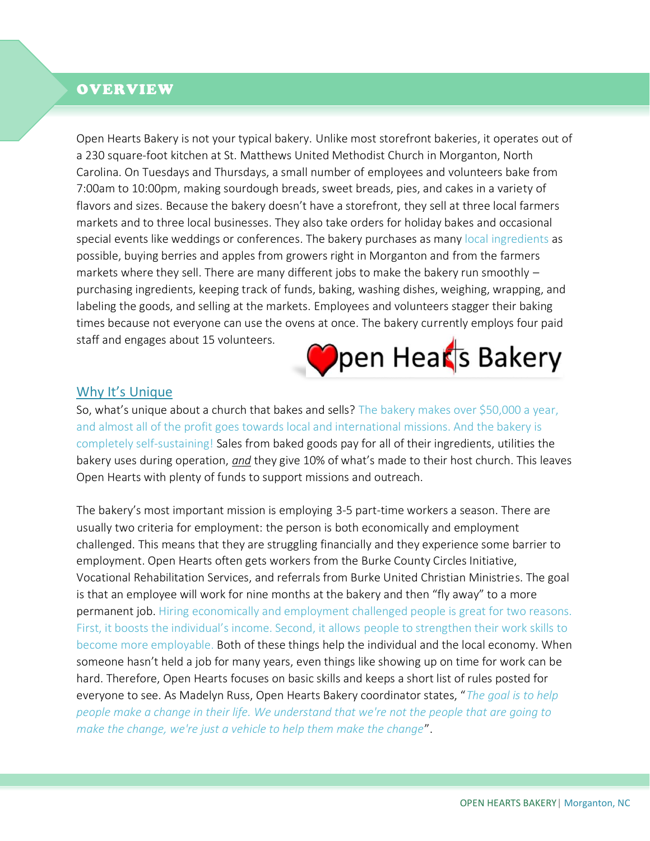## OVERVIEW

Open Hearts Bakery is not your typical bakery. Unlike most storefront bakeries, it operates out of a 230 square-foot kitchen at St. Matthews United Methodist Church in Morganton, North Carolina. On Tuesdays and Thursdays, a small number of employees and volunteers bake from 7:00am to 10:00pm, making sourdough breads, sweet breads, pies, and cakes in a variety of flavors and sizes. Because the bakery doesn't have a storefront, they sell at three local farmers markets and to three local businesses. They also take orders for holiday bakes and occasional special events like weddings or conferences. The bakery purchases as many local ingredients as possible, buying berries and apples from growers right in Morganton and from the farmers markets where they sell. There are many different jobs to make the bakery run smoothly – purchasing ingredients, keeping track of funds, baking, washing dishes, weighing, wrapping, and labeling the goods, and selling at the markets. Employees and volunteers stagger their baking times because not everyone can use the ovens at once. The bakery currently employs four paid staff and engages about 15 volunteers.

l



#### Why It's Unique

So, what's unique about a church that bakes and sells? The bakery makes over \$50,000 a year, and almost all of the profit goes towards local and international missions. And the bakery is completely self-sustaining! Sales from baked goods pay for all of their ingredients, utilities the bakery uses during operation, *and* they give 10% of what's made to their host church. This leaves Open Hearts with plenty of funds to support missions and outreach.

The bakery's most important mission is employing 3-5 part-time workers a season. There are usually two criteria for employment: the person is both economically and employment challenged. This means that they are struggling financially and they experience some barrier to employment. Open Hearts often gets workers from the Burke County Circles Initiative, Vocational Rehabilitation Services, and referrals from Burke United Christian Ministries. The goal is that an employee will work for nine months at the bakery and then "fly away" to a more permanent job. Hiring economically and employment challenged people is great for two reasons. First, it boosts the individual's income. Second, it allows people to strengthen their work skills to become more employable. Both of these things help the individual and the local economy. When someone hasn't held a job for many years, even things like showing up on time for work can be hard. Therefore, Open Hearts focuses on basic skills and keeps a short list of rules posted for everyone to see. As Madelyn Russ, Open Hearts Bakery coordinator states, "*The goal is to help people make a change in their life. We understand that we're not the people that are going to make the change, we're just a vehicle to help them make the change*".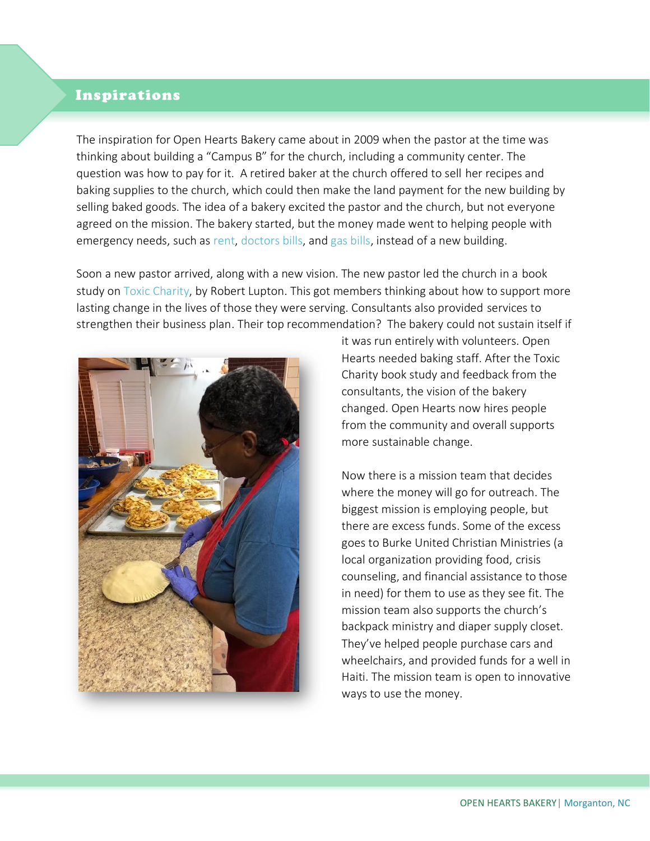# InspirationsI

The inspiration for Open Hearts Bakery came about in 2009 when the pastor at the time was thinking about building a "Campus B" for the church, including a community center. The question was how to pay for it. A retired baker at the church offered to sell her recipes and baking supplies to the church, which could then make the land payment for the new building by selling baked goods. The idea of a bakery excited the pastor and the church, but not everyone agreed on the mission. The bakery started, but the money made went to helping people with emergency needs, such as rent, doctors bills, and gas bills, instead of a new building.

Soon a new pastor arrived, along with a new vision. The new pastor led the church in a book study on Toxic Charity, by Robert Lupton. This got members thinking about how to support more lasting change in the lives of those they were serving. Consultants also provided services to strengthen their business plan. Their top recommendation? The bakery could not sustain itself if



it was run entirely with volunteers. Open Hearts needed baking staff. After the Toxic Charity book study and feedback from the consultants, the vision of the bakery changed. Open Hearts now hires people from the community and overall supports more sustainable change.

Now there is a mission team that decides where the money will go for outreach. The biggest mission is employing people, but there are excess funds. Some of the excess goes to Burke United Christian Ministries (a local organization providing food, crisis counseling, and financial assistance to those in need) for them to use as they see fit. The mission team also supports the church's backpack ministry and diaper supply closet. They've helped people purchase cars and wheelchairs, and provided funds for a well in Haiti. The mission team is open to innovative ways to use the money.